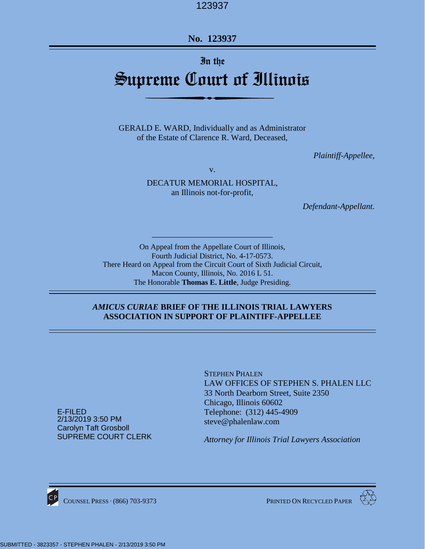**No. 123937**

# In the

# Supreme Court of Illinois

GERALD E. WARD, Individually and as Administrator of the Estate of Clarence R. Ward, Deceased,

*Plaintiff-Appellee,*

v.

DECATUR MEMORIAL HOSPITAL, an Illinois not-for-profit,

*Defendant-Appellant.*

On Appeal from the Appellate Court of Illinois, Fourth Judicial District, No. 4-17-0573. There Heard on Appeal from the Circuit Court of Sixth Judicial Circuit, Macon County, Illinois, No. 2016 L 51. The Honorable **Thomas E. Little**, Judge Presiding.

*\_\_\_\_\_\_\_\_\_\_\_\_\_\_\_\_\_\_\_\_\_\_\_\_\_\_\_\_\_*

#### *AMICUS CURIAE* **BRIEF OF THE ILLINOIS TRIAL LAWYERS ASSOCIATION IN SUPPORT OF PLAINTIFF-APPELLEE**

STEPHEN PHALEN LAW OFFICES OF STEPHEN S. PHALEN LLC 33 North Dearborn Street, Suite 2350 Chicago, Illinois 60602 Telephone: (312) 445-4909 [steve@phalenlaw.com](mailto:steve@phalenlaw.com)

*Attorney for Illinois Trial Lawyers Association*

E-FILED 2/13/2019 3:50 PM Carolyn Taft Grosboll SUPREME COURT CLERK



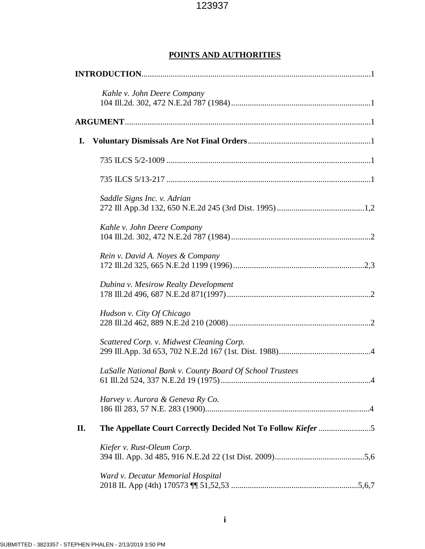# **POINTS AND AUTHORITIES**

|    | Kahle v. John Deere Company                              |  |  |  |
|----|----------------------------------------------------------|--|--|--|
|    |                                                          |  |  |  |
| I. |                                                          |  |  |  |
|    |                                                          |  |  |  |
|    |                                                          |  |  |  |
|    | Saddle Signs Inc. v. Adrian                              |  |  |  |
|    | Kahle v. John Deere Company                              |  |  |  |
|    | Rein v. David A. Noyes & Company                         |  |  |  |
|    | Dubina v. Mesirow Realty Development                     |  |  |  |
|    | Hudson v. City Of Chicago                                |  |  |  |
|    | Scattered Corp. v. Midwest Cleaning Corp.                |  |  |  |
|    | LaSalle National Bank v. County Board Of School Trustees |  |  |  |
|    | Harvey v. Aurora & Geneva Ry Co.                         |  |  |  |
| П. |                                                          |  |  |  |
|    | Kiefer v. Rust-Oleum Corp.                               |  |  |  |
|    | Ward v. Decatur Memorial Hospital                        |  |  |  |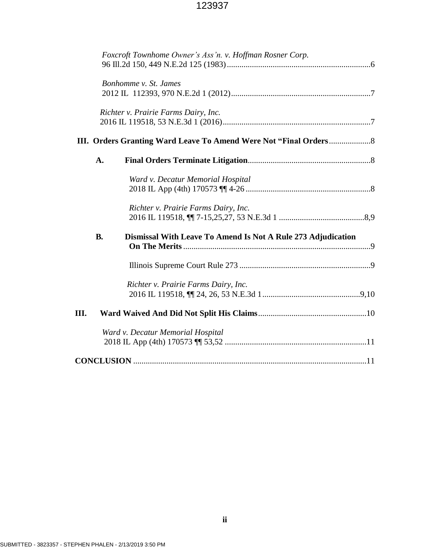|    |           | Foxcroft Townhome Owner's Ass'n. v. Hoffman Rosner Corp.     |  |
|----|-----------|--------------------------------------------------------------|--|
|    |           | Bonhomme v. St. James                                        |  |
|    |           | Richter v. Prairie Farms Dairy, Inc.                         |  |
|    |           |                                                              |  |
|    | A.        |                                                              |  |
|    |           | Ward v. Decatur Memorial Hospital                            |  |
|    |           | Richter v. Prairie Farms Dairy, Inc.                         |  |
|    | <b>B.</b> | Dismissal With Leave To Amend Is Not A Rule 273 Adjudication |  |
|    |           |                                                              |  |
|    |           | Richter v. Prairie Farms Dairy, Inc.                         |  |
| Ш. |           |                                                              |  |
|    |           | Ward v. Decatur Memorial Hospital                            |  |
|    |           |                                                              |  |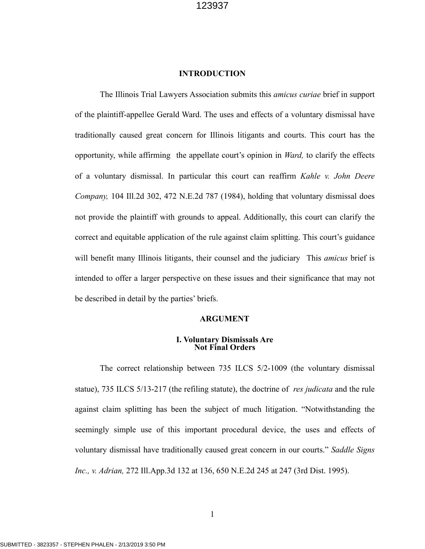#### **INTRODUCTION**

The Illinois Trial Lawyers Association submits this *amicus curiae* brief in support of the plaintiff-appellee Gerald Ward. The uses and effects of a voluntary dismissal have traditionally caused great concern for Illinois litigants and courts. This court has the opportunity, while affirming the appellate court's opinion in *Ward,* to clarify the effects of a voluntary dismissal. In particular this court can reaffirm *Kahle v. John Deere Company,* 104 Ill.2d 302, 472 N.E.2d 787 (1984), holding that voluntary dismissal does not provide the plaintiff with grounds to appeal. Additionally, this court can clarify the correct and equitable application of the rule against claim splitting. This court's guidance will benefit many Illinois litigants, their counsel and the judiciary This *amicus* brief is intended to offer a larger perspective on these issues and their significance that may not be described in detail by the parties' briefs.

#### **ARGUMENT**

#### **I. Voluntary Dismissals Are Not Final Orders**

The correct relationship between 735 ILCS 5/2-1009 (the voluntary dismissal statue), 735 ILCS 5/13-217 (the refiling statute), the doctrine of *res judicata* and the rule against claim splitting has been the subject of much litigation. "Notwithstanding the seemingly simple use of this important procedural device, the uses and effects of voluntary dismissal have traditionally caused great concern in our courts." *Saddle Signs Inc., v. Adrian,* 272 Ill.App.3d 132 at 136, 650 N.E.2d 245 at 247 (3rd Dist. 1995).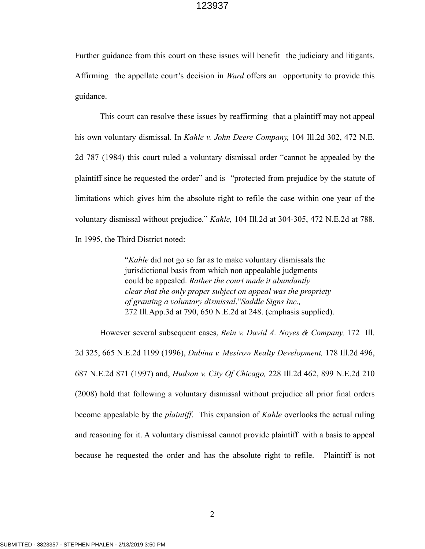Further guidance from this court on these issues will benefit the judiciary and litigants. Affirming the appellate court's decision in *Ward* offers an opportunity to provide this guidance.

This court can resolve these issues by reaffirming that a plaintiff may not appeal his own voluntary dismissal. In *Kahle v. John Deere Company,* 104 Ill.2d 302, 472 N.E. 2d 787 (1984) this court ruled a voluntary dismissal order "cannot be appealed by the plaintiff since he requested the order" and is "protected from prejudice by the statute of limitations which gives him the absolute right to refile the case within one year of the voluntary dismissal without prejudice." *Kahle,* 104 Ill.2d at 304-305, 472 N.E.2d at 788. In 1995, the Third District noted:

> "*Kahle* did not go so far as to make voluntary dismissals the jurisdictional basis from which non appealable judgments could be appealed. *Rather the court made it abundantly clear that the only proper subject on appeal was the propriety of granting a voluntary dismissal*."*Saddle Signs Inc.,* 272 Ill.App.3d at 790, 650 N.E.2d at 248. (emphasis supplied).

 However several subsequent cases, *Rein v. David A. Noyes & Company,* 172 Ill. 2d 325, 665 N.E.2d 1199 (1996), *Dubina v. Mesirow Realty Development,* 178 Ill.2d 496, 687 N.E.2d 871 (1997) and, *Hudson v. City Of Chicago,* 228 Ill.2d 462, 899 N.E.2d 210 (2008) hold that following a voluntary dismissal without prejudice all prior final orders become appealable by the *plaintiff*. This expansion of *Kahle* overlooks the actual ruling and reasoning for it. A voluntary dismissal cannot provide plaintiff with a basis to appeal because he requested the order and has the absolute right to refile. Plaintiff is not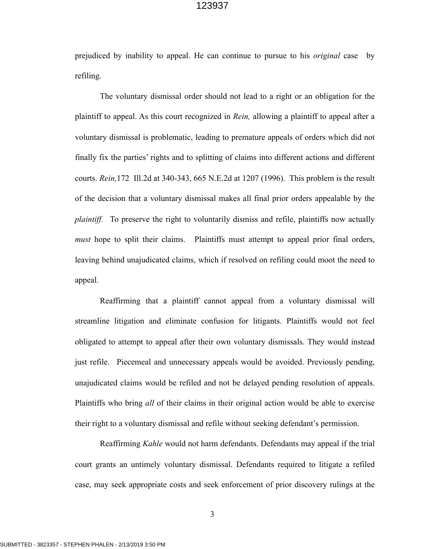prejudiced by inability to appeal. He can continue to pursue to his *original* case by refiling.

 The voluntary dismissal order should not lead to a right or an obligation for the plaintiff to appeal. As this court recognized in *Rein,* allowing a plaintiff to appeal after a voluntary dismissal is problematic, leading to premature appeals of orders which did not finally fix the parties' rights and to splitting of claims into different actions and different courts. *Rein,*172 Ill.2d at 340-343, 665 N.E.2d at 1207 (1996). This problem is the result of the decision that a voluntary dismissal makes all final prior orders appealable by the *plaintiff.* To preserve the right to voluntarily dismiss and refile, plaintiffs now actually *must* hope to split their claims. Plaintiffs must attempt to appeal prior final orders, leaving behind unajudicated claims, which if resolved on refiling could moot the need to appeal.

 Reaffirming that a plaintiff cannot appeal from a voluntary dismissal will streamline litigation and eliminate confusion for litigants. Plaintiffs would not feel obligated to attempt to appeal after their own voluntary dismissals. They would instead just refile. Piecemeal and unnecessary appeals would be avoided. Previously pending, unajudicated claims would be refiled and not be delayed pending resolution of appeals. Plaintiffs who bring *all* of their claims in their original action would be able to exercise their right to a voluntary dismissal and refile without seeking defendant's permission.

 Reaffirming *Kahle* would not harm defendants. Defendants may appeal if the trial court grants an untimely voluntary dismissal. Defendants required to litigate a refiled case, may seek appropriate costs and seek enforcement of prior discovery rulings at the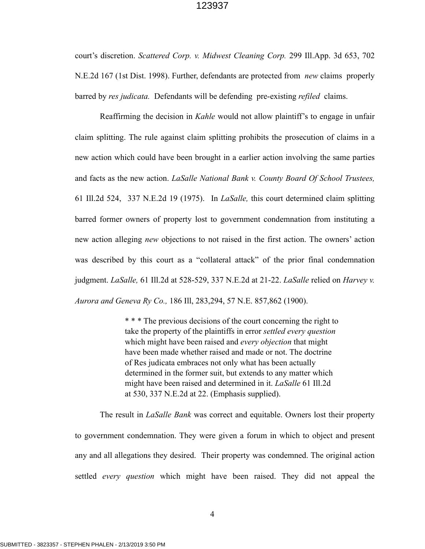court's discretion. *Scattered Corp. v. Midwest Cleaning Corp.* 299 Ill.App. 3d 653, 702 N.E.2d 167 (1st Dist. 1998). Further, defendants are protected from *new* claims properly barred by *res judicata.* Defendants will be defending pre-existing *refiled* claims.

 Reaffirming the decision in *Kahle* would not allow plaintiff's to engage in unfair claim splitting. The rule against claim splitting prohibits the prosecution of claims in a new action which could have been brought in a earlier action involving the same parties and facts as the new action. *LaSalle National Bank v. County Board Of School Trustees,*  61 Ill.2d 524, 337 N.E.2d 19 (1975). In *LaSalle,* this court determined claim splitting barred former owners of property lost to government condemnation from instituting a new action alleging *new* objections to not raised in the first action. The owners' action was described by this court as a "collateral attack" of the prior final condemnation judgment. *LaSalle,* 61 Ill.2d at 528-529, 337 N.E.2d at 21-22. *LaSalle* relied on *Harvey v. Aurora and Geneva Ry Co.,* 186 Ill, 283,294, 57 N.E. 857,862 (1900).

> \* \* \* The previous decisions of the court concerning the right to take the property of the plaintiffs in error *settled every question* which might have been raised and *every objection* that might have been made whether raised and made or not. The doctrine of Res judicata embraces not only what has been actually determined in the former suit, but extends to any matter which might have been raised and determined in it. *LaSalle* 61 Ill.2d at 530, 337 N.E.2d at 22. (Emphasis supplied).

 The result in *LaSalle Bank* was correct and equitable. Owners lost their property to government condemnation. They were given a forum in which to object and present any and all allegations they desired. Their property was condemned. The original action settled *every question* which might have been raised. They did not appeal the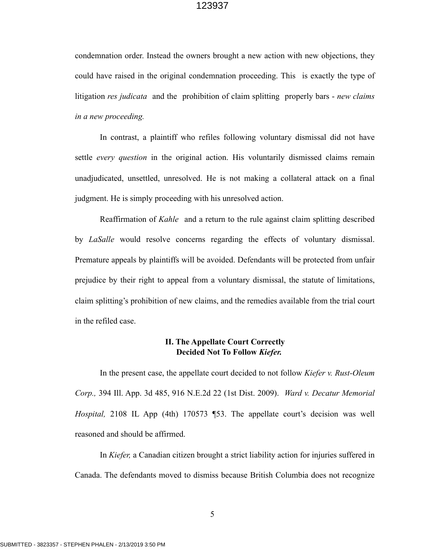condemnation order. Instead the owners brought a new action with new objections, they could have raised in the original condemnation proceeding. This is exactly the type of litigation *res judicata* and the prohibition of claim splitting properly bars - *new claims in a new proceeding.* 

In contrast, a plaintiff who refiles following voluntary dismissal did not have settle *every question* in the original action. His voluntarily dismissed claims remain unadjudicated, unsettled, unresolved. He is not making a collateral attack on a final judgment. He is simply proceeding with his unresolved action.

 Reaffirmation of *Kahle* and a return to the rule against claim splitting described by *LaSalle* would resolve concerns regarding the effects of voluntary dismissal. Premature appeals by plaintiffs will be avoided. Defendants will be protected from unfair prejudice by their right to appeal from a voluntary dismissal, the statute of limitations, claim splitting's prohibition of new claims, and the remedies available from the trial court in the refiled case.

#### **II. The Appellate Court Correctly Decided Not To Follow** *Kiefer.*

 In the present case, the appellate court decided to not follow *Kiefer v. Rust-Oleum Corp.,* 394 Ill. App. 3d 485, 916 N.E.2d 22 (1st Dist. 2009). *Ward v. Decatur Memorial Hospital,* 2108 IL App (4th) 170573 ¶53. The appellate court's decision was well reasoned and should be affirmed.

 In *Kiefer,* a Canadian citizen brought a strict liability action for injuries suffered in Canada. The defendants moved to dismiss because British Columbia does not recognize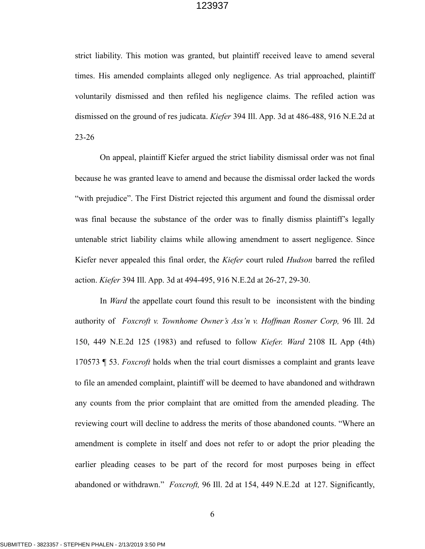strict liability. This motion was granted, but plaintiff received leave to amend several times. His amended complaints alleged only negligence. As trial approached, plaintiff voluntarily dismissed and then refiled his negligence claims. The refiled action was dismissed on the ground of res judicata. *Kiefer* 394 Ill. App. 3d at 486-488, 916 N.E.2d at 23-26

 On appeal, plaintiff Kiefer argued the strict liability dismissal order was not final because he was granted leave to amend and because the dismissal order lacked the words "with prejudice". The First District rejected this argument and found the dismissal order was final because the substance of the order was to finally dismiss plaintiff's legally untenable strict liability claims while allowing amendment to assert negligence. Since Kiefer never appealed this final order, the *Kiefer* court ruled *Hudson* barred the refiled action. *Kiefer* 394 Ill. App. 3d at 494-495, 916 N.E.2d at 26-27, 29-30.

 In *Ward* the appellate court found this result to be inconsistent with the binding authority of *Foxcroft v. Townhome Owner's Ass'n v. Hoffman Rosner Corp,* 96 Ill. 2d 150, 449 N.E.2d 125 (1983) and refused to follow *Kiefer. Ward* 2108 IL App (4th) 170573 ¶ 53. *Foxcroft* holds when the trial court dismisses a complaint and grants leave to file an amended complaint, plaintiff will be deemed to have abandoned and withdrawn any counts from the prior complaint that are omitted from the amended pleading. The reviewing court will decline to address the merits of those abandoned counts. "Where an amendment is complete in itself and does not refer to or adopt the prior pleading the earlier pleading ceases to be part of the record for most purposes being in effect abandoned or withdrawn." *Foxcroft,* 96 Ill. 2d at 154, 449 N.E.2d at 127. Significantly,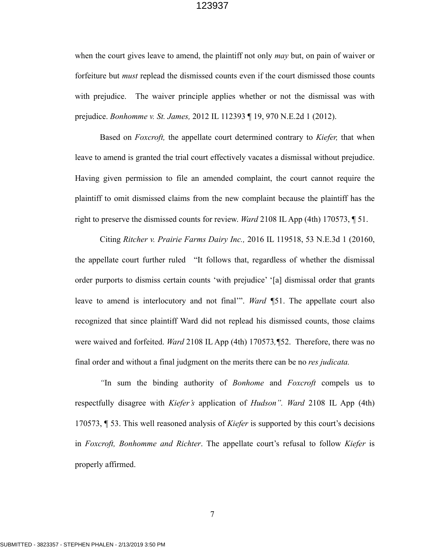when the court gives leave to amend, the plaintiff not only *may* but, on pain of waiver or forfeiture but *must* replead the dismissed counts even if the court dismissed those counts with prejudice. The waiver principle applies whether or not the dismissal was with prejudice. *Bonhomme v. St. James,* 2012 IL 112393 ¶ 19, 970 N.E.2d 1 (2012).

 Based on *Foxcroft,* the appellate court determined contrary to *Kiefer,* that when leave to amend is granted the trial court effectively vacates a dismissal without prejudice. Having given permission to file an amended complaint, the court cannot require the plaintiff to omit dismissed claims from the new complaint because the plaintiff has the right to preserve the dismissed counts for review. *Ward* 2108 IL App (4th) 170573, ¶ 51.

 Citing *Ritcher v. Prairie Farms Dairy Inc.,* 2016 IL 119518, 53 N.E.3d 1 (20160, the appellate court further ruled "It follows that, regardless of whether the dismissal order purports to dismiss certain counts 'with prejudice' '[a] dismissal order that grants leave to amend is interlocutory and not final'". *Ward ¶*51. The appellate court also recognized that since plaintiff Ward did not replead his dismissed counts, those claims were waived and forfeited. *Ward* 2108 IL App (4th) 170573*,¶*52. Therefore, there was no final order and without a final judgment on the merits there can be no *res judicata.* 

 *"*In sum the binding authority of *Bonhome* and *Foxcroft* compels us to respectfully disagree with *Kiefer's* application of *Hudson". Ward* 2108 IL App (4th) 170573, ¶ 53. This well reasoned analysis of *Kiefer* is supported by this court's decisions in *Foxcroft, Bonhomme and Richter*. The appellate court's refusal to follow *Kiefer* is properly affirmed.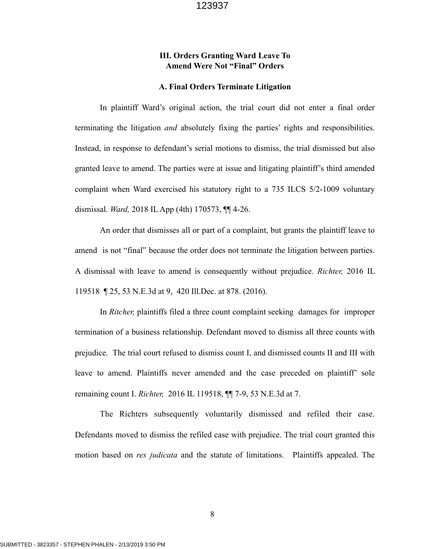# **III. Orders Granting Ward Leave To Amend Were Not "Final" Orders**

#### **A. Final Orders Terminate Litigation**

In plaintiff Ward's original action, the trial court did not enter a final order terminating the litigation *and* absolutely fixing the parties' rights and responsibilities. Instead, in response to defendant's serial motions to dismiss, the trial dismissed but also granted leave to amend. The parties were at issue and litigating plaintiff's third amended complaint when Ward exercised his statutory right to a 735 ILCS 5/2-1009 voluntary dismissal. *Ward,* 2018 IL App (4th) 170573, ¶¶ 4-26.

 An order that dismisses all or part of a complaint, but grants the plaintiff leave to amend is not "final" because the order does not terminate the litigation between parties. A dismissal with leave to amend is consequently without prejudice. *Richter,* 2016 IL 119518 ¶ 25, 53 N.E.3d at 9, 420 Ill.Dec. at 878. (2016).

 In *Ritcher,* plaintiffs filed a three count complaint seeking damages for improper termination of a business relationship. Defendant moved to dismiss all three counts with prejudice. The trial court refused to dismiss count I, and dismissed counts II and III with leave to amend. Plaintiffs never amended and the case preceded on plaintiff' sole remaining count I. *Richter,* 2016 IL 119518, ¶¶ 7-9, 53 N.E.3d at 7.

 The Richters subsequently voluntarily dismissed and refiled their case. Defendants moved to dismiss the refiled case with prejudice. The trial court granted this motion based on *res judicata* and the statute of limitations. Plaintiffs appealed. The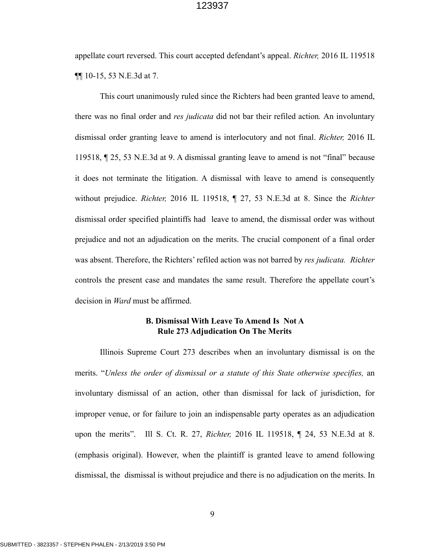appellate court reversed. This court accepted defendant's appeal. *Richter,* 2016 IL 119518 ¶¶ 10-15, 53 N.E.3d at 7.

 This court unanimously ruled since the Richters had been granted leave to amend, there was no final order and *res judicata* did not bar their refiled action*.* An involuntary dismissal order granting leave to amend is interlocutory and not final. *Richter,* 2016 IL 119518, ¶ 25, 53 N.E.3d at 9. A dismissal granting leave to amend is not "final" because it does not terminate the litigation. A dismissal with leave to amend is consequently without prejudice. *Richter,* 2016 IL 119518, ¶ 27, 53 N.E.3d at 8. Since the *Richter*  dismissal order specified plaintiffs had leave to amend, the dismissal order was without prejudice and not an adjudication on the merits. The crucial component of a final order was absent. Therefore, the Richters' refiled action was not barred by *res judicata. Ri*c*hter*  controls the present case and mandates the same result. Therefore the appellate court's decision in *Ward* must be affirmed.

## **B. Dismissal With Leave To Amend Is Not A Rule 273 Adjudication On The Merits**

 Illinois Supreme Court 273 describes when an involuntary dismissal is on the merits. "*Unless the order of dismissal or a statute of this State otherwise specifies,* an involuntary dismissal of an action, other than dismissal for lack of jurisdiction, for improper venue, or for failure to join an indispensable party operates as an adjudication upon the merits". Ill S. Ct. R. 27, *Richter,* 2016 IL 119518, ¶ 24, 53 N.E.3d at 8. (emphasis original). However, when the plaintiff is granted leave to amend following dismissal, the dismissal is without prejudice and there is no adjudication on the merits. In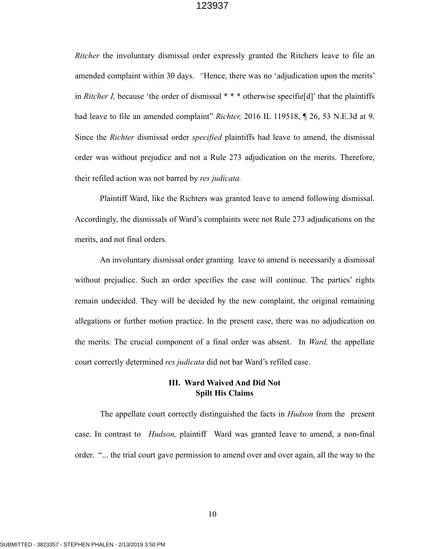*Ritcher* the involuntary dismissal order expressly granted the Ritchers leave to file an amended complaint within 30 days. *"*Hence, there was no 'adjudication upon the merits' in *Ritcher I,* because 'the order of dismissal \* \* \* otherwise specifie[d]' that the plaintiffs had leave to file an amended complaint" *Richter*, 2016 IL 119518, ¶ 26, 53 N.E.3d at 9. Since the *Richter* dismissal order *specified* plaintiffs had leave to amend, the dismissal order was without prejudice and not a Rule 273 adjudication on the merits. Therefore, their refiled action was not barred by *res judicata.* 

 Plaintiff Ward, like the Richters was granted leave to amend following dismissal. Accordingly, the dismissals of Ward's complaints were not Rule 273 adjudications on the merits, and not final orders.

An involuntary dismissal order granting leave to amend is necessarily a dismissal without prejudice. Such an order specifies the case will continue. The parties' rights remain undecided. They will be decided by the new complaint, the original remaining allegations or further motion practice. In the present case, there was no adjudication on the merits. The crucial component of a final order was absent. In *Ward,* the appellate court correctly determined *res judicata* did not bar Ward's refiled case.

## **III. Ward Waived And Did Not Spilt His Claims**

 The appellate court correctly distinguished the facts in *Hudson* from the present case. In contrast to *Hudson,* plaintiff Ward was granted leave to amend, a non-final order. "... the trial court gave permission to amend over and over again, all the way to the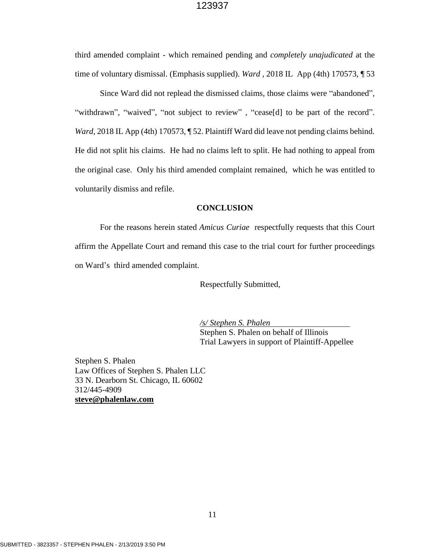third amended complaint - which remained pending and *completely unajudicated* at the time of voluntary dismissal. (Emphasis supplied). *Ward ,* 2018 IL App (4th) 170573, ¶ 53

Since Ward did not replead the dismissed claims, those claims were "abandoned", "withdrawn", "waived", "not subject to review", "cease[d] to be part of the record". *Ward,* 2018 IL App (4th) 170573, ¶ 52. Plaintiff Ward did leave not pending claims behind. He did not split his claims. He had no claims left to split. He had nothing to appeal from the original case. Only his third amended complaint remained, which he was entitled to voluntarily dismiss and refile.

#### **CONCLUSION**

For the reasons herein stated *Amicus Curiae* respectfully requests that this Court affirm the Appellate Court and remand this case to the trial court for further proceedings on Ward's third amended complaint.

Respectfully Submitted,

*/s/ Stephen S. Phalen* Stephen S. Phalen on behalf of Illinois Trial Lawyers in support of Plaintiff-Appellee

Stephen S. Phalen Law Offices of Stephen S. Phalen LLC 33 N. Dearborn St. Chicago, IL 60602 312/445-4909 **[steve@phalenlaw.com](mailto:steve@phalenlaw.com)**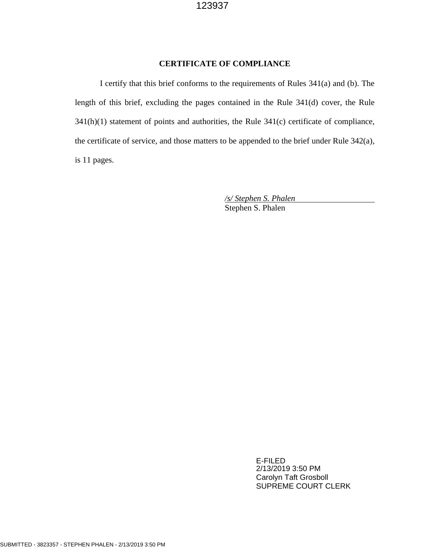#### **CERTIFICATE OF COMPLIANCE**

I certify that this brief conforms to the requirements of Rules 341(a) and (b). The length of this brief, excluding the pages contained in the Rule 341(d) cover, the Rule 341(h)(1) statement of points and authorities, the Rule 341(c) certificate of compliance, the certificate of service, and those matters to be appended to the brief under Rule 342(a), is 11 pages.

> */s/ Stephen S. Phalen* Stephen S. Phalen

> > E-FILED 2/13/2019 3:50 PM Carolyn Taft Grosboll SUPREME COURT CLERK